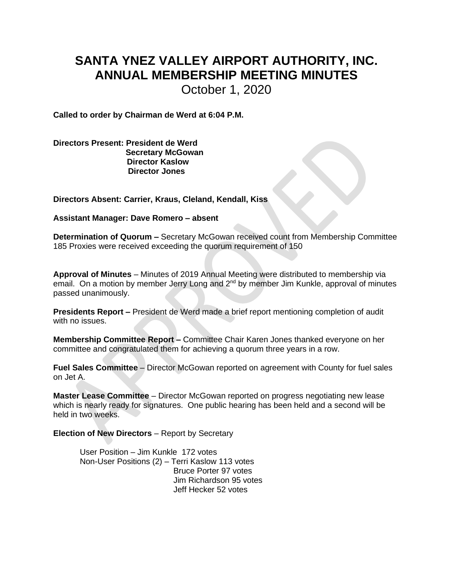## **SANTA YNEZ VALLEY AIRPORT AUTHORITY, INC. ANNUAL MEMBERSHIP MEETING MINUTES**

October 1, 2020

**Called to order by Chairman de Werd at 6:04 P.M.**

**Directors Present: President de Werd Secretary McGowan Director Kaslow Director Jones** 

**Directors Absent: Carrier, Kraus, Cleland, Kendall, Kiss**

**Assistant Manager: Dave Romero – absent**

**Determination of Quorum –** Secretary McGowan received count from Membership Committee 185 Proxies were received exceeding the quorum requirement of 150

**Approval of Minutes** – Minutes of 2019 Annual Meeting were distributed to membership via email. On a motion by member Jerry Long and 2<sup>nd</sup> by member Jim Kunkle, approval of minutes passed unanimously.

**Presidents Report –** President de Werd made a brief report mentioning completion of audit with no issues.

**Membership Committee Report –** Committee Chair Karen Jones thanked everyone on her committee and congratulated them for achieving a quorum three years in a row.

**Fuel Sales Committee** – Director McGowan reported on agreement with County for fuel sales on Jet A.

**Master Lease Committee** – Director McGowan reported on progress negotiating new lease which is nearly ready for signatures. One public hearing has been held and a second will be held in two weeks.

**Election of New Directors** – Report by Secretary

User Position – Jim Kunkle 172 votes Non-User Positions (2) – Terri Kaslow 113 votes Bruce Porter 97 votes Jim Richardson 95 votes Jeff Hecker 52 votes